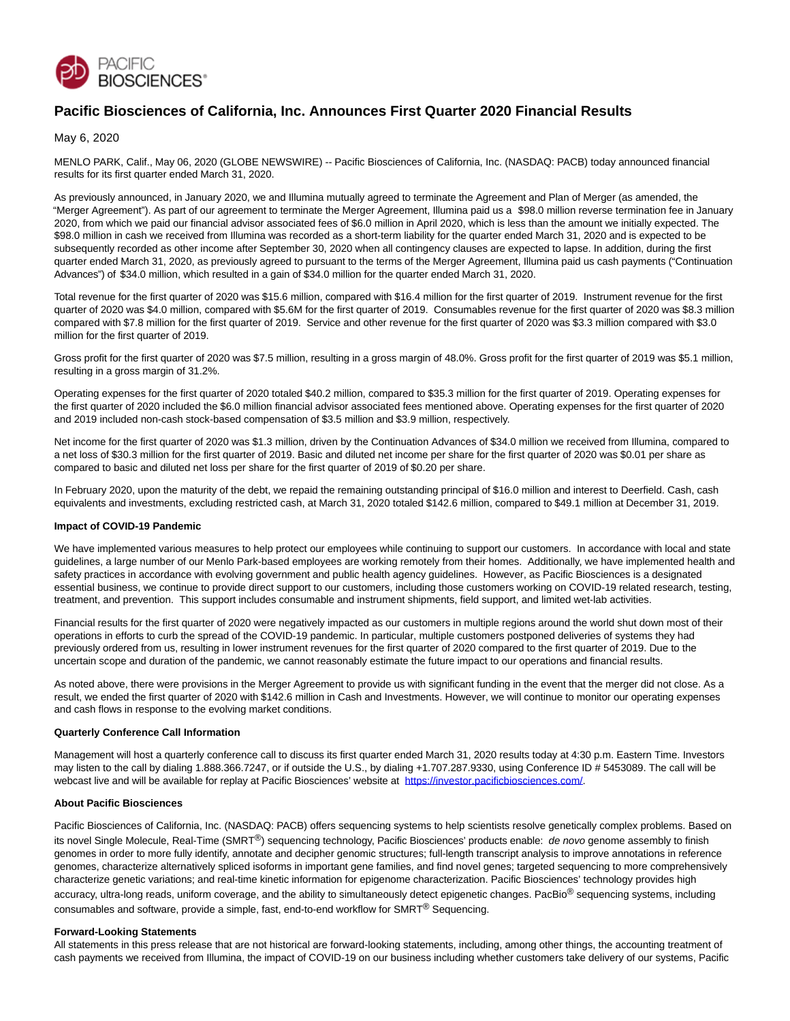

# **Pacific Biosciences of California, Inc. Announces First Quarter 2020 Financial Results**

May 6, 2020

MENLO PARK, Calif., May 06, 2020 (GLOBE NEWSWIRE) -- Pacific Biosciences of California, Inc. (NASDAQ: PACB) today announced financial results for its first quarter ended March 31, 2020.

As previously announced, in January 2020, we and Illumina mutually agreed to terminate the Agreement and Plan of Merger (as amended, the "Merger Agreement"). As part of our agreement to terminate the Merger Agreement, Illumina paid us a \$98.0 million reverse termination fee in January 2020, from which we paid our financial advisor associated fees of \$6.0 million in April 2020, which is less than the amount we initially expected. The \$98.0 million in cash we received from Illumina was recorded as a short-term liability for the quarter ended March 31, 2020 and is expected to be subsequently recorded as other income after September 30, 2020 when all contingency clauses are expected to lapse. In addition, during the first quarter ended March 31, 2020, as previously agreed to pursuant to the terms of the Merger Agreement, Illumina paid us cash payments ("Continuation Advances") of \$34.0 million, which resulted in a gain of \$34.0 million for the quarter ended March 31, 2020.

Total revenue for the first quarter of 2020 was \$15.6 million, compared with \$16.4 million for the first quarter of 2019. Instrument revenue for the first quarter of 2020 was \$4.0 million, compared with \$5.6M for the first quarter of 2019. Consumables revenue for the first quarter of 2020 was \$8.3 million compared with \$7.8 million for the first quarter of 2019. Service and other revenue for the first quarter of 2020 was \$3.3 million compared with \$3.0 million for the first quarter of 2019.

Gross profit for the first quarter of 2020 was \$7.5 million, resulting in a gross margin of 48.0%. Gross profit for the first quarter of 2019 was \$5.1 million, resulting in a gross margin of 31.2%.

Operating expenses for the first quarter of 2020 totaled \$40.2 million, compared to \$35.3 million for the first quarter of 2019. Operating expenses for the first quarter of 2020 included the \$6.0 million financial advisor associated fees mentioned above. Operating expenses for the first quarter of 2020 and 2019 included non-cash stock-based compensation of \$3.5 million and \$3.9 million, respectively.

Net income for the first quarter of 2020 was \$1.3 million, driven by the Continuation Advances of \$34.0 million we received from Illumina, compared to a net loss of \$30.3 million for the first quarter of 2019. Basic and diluted net income per share for the first quarter of 2020 was \$0.01 per share as compared to basic and diluted net loss per share for the first quarter of 2019 of \$0.20 per share.

In February 2020, upon the maturity of the debt, we repaid the remaining outstanding principal of \$16.0 million and interest to Deerfield. Cash, cash equivalents and investments, excluding restricted cash, at March 31, 2020 totaled \$142.6 million, compared to \$49.1 million at December 31, 2019.

# **Impact of COVID-19 Pandemic**

We have implemented various measures to help protect our employees while continuing to support our customers. In accordance with local and state guidelines, a large number of our Menlo Park-based employees are working remotely from their homes. Additionally, we have implemented health and safety practices in accordance with evolving government and public health agency guidelines. However, as Pacific Biosciences is a designated essential business, we continue to provide direct support to our customers, including those customers working on COVID-19 related research, testing, treatment, and prevention. This support includes consumable and instrument shipments, field support, and limited wet-lab activities.

Financial results for the first quarter of 2020 were negatively impacted as our customers in multiple regions around the world shut down most of their operations in efforts to curb the spread of the COVID-19 pandemic. In particular, multiple customers postponed deliveries of systems they had previously ordered from us, resulting in lower instrument revenues for the first quarter of 2020 compared to the first quarter of 2019. Due to the uncertain scope and duration of the pandemic, we cannot reasonably estimate the future impact to our operations and financial results.

As noted above, there were provisions in the Merger Agreement to provide us with significant funding in the event that the merger did not close. As a result, we ended the first quarter of 2020 with \$142.6 million in Cash and Investments. However, we will continue to monitor our operating expenses and cash flows in response to the evolving market conditions.

# **Quarterly Conference Call Information**

Management will host a quarterly conference call to discuss its first quarter ended March 31, 2020 results today at 4:30 p.m. Eastern Time. Investors may listen to the call by dialing 1.888.366.7247, or if outside the U.S., by dialing +1.707.287.9330, using Conference ID # 5453089. The call will be webcast live and will be available for replay at Pacific Biosciences' website at [https://investor.pacificbiosciences.com/.](https://www.globenewswire.com/Tracker?data=m90bjnPqkssM_k0auzTPv-k1JnOM6k3OmEv2j4mSSuUfqgMjzfSaWoNhCnTFjW9lFURrZC8lEGwOJVoculwRoV-vPWeb2wdQA5sa1LFlwSa3Q4hzO8Ct6C9dzE0q9_Cqv_10wJ5aEuoy_6ODXwp1lg==)

# **About Pacific Biosciences**

Pacific Biosciences of California, Inc. (NASDAQ: PACB) offers sequencing systems to help scientists resolve genetically complex problems. Based on its novel Single Molecule, Real-Time (SMRT<sup>®</sup>) sequencing technology, Pacific Biosciences' products enable: *de novo* genome assembly to finish genomes in order to more fully identify, annotate and decipher genomic structures; full-length transcript analysis to improve annotations in reference genomes, characterize alternatively spliced isoforms in important gene families, and find novel genes; targeted sequencing to more comprehensively characterize genetic variations; and real-time kinetic information for epigenome characterization. Pacific Biosciences' technology provides high accuracy, ultra-long reads, uniform coverage, and the ability to simultaneously detect epigenetic changes. PacBio<sup>®</sup> sequencing systems, including consumables and software, provide a simple, fast, end-to-end workflow for SMRT® Sequencing.

#### **Forward-Looking Statements**

All statements in this press release that are not historical are forward-looking statements, including, among other things, the accounting treatment of cash payments we received from Illumina, the impact of COVID-19 on our business including whether customers take delivery of our systems, Pacific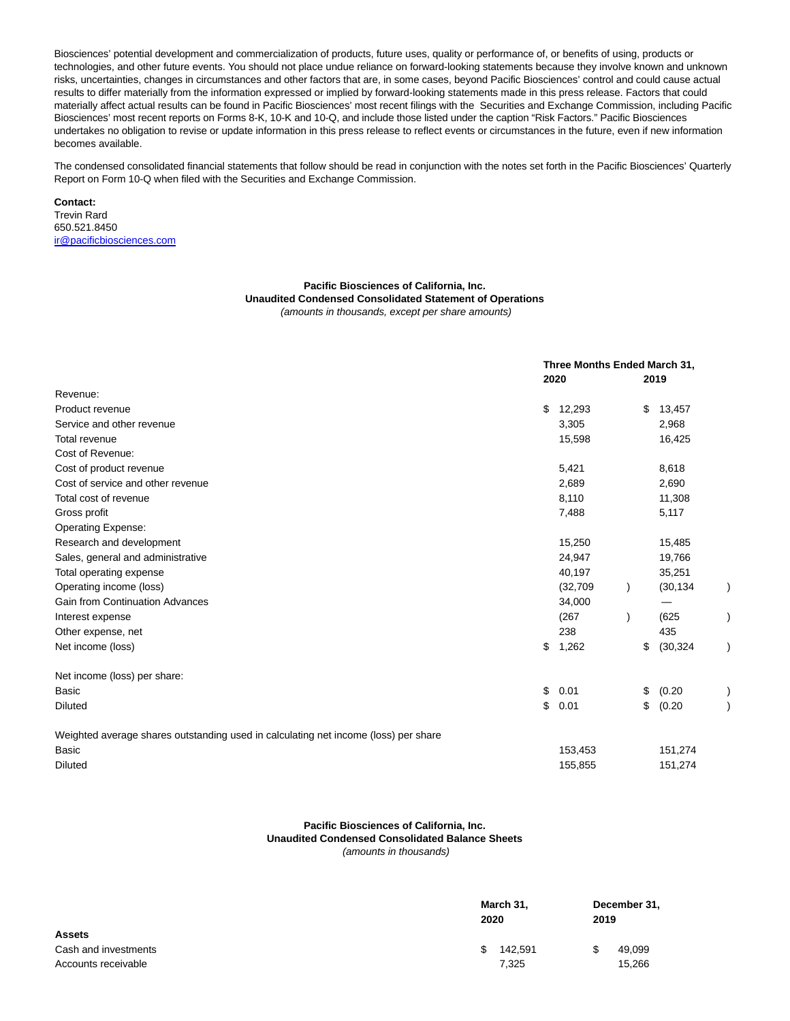Biosciences' potential development and commercialization of products, future uses, quality or performance of, or benefits of using, products or technologies, and other future events. You should not place undue reliance on forward-looking statements because they involve known and unknown risks, uncertainties, changes in circumstances and other factors that are, in some cases, beyond Pacific Biosciences' control and could cause actual results to differ materially from the information expressed or implied by forward-looking statements made in this press release. Factors that could materially affect actual results can be found in Pacific Biosciences' most recent filings with the Securities and Exchange Commission, including Pacific Biosciences' most recent reports on Forms 8-K, 10-K and 10-Q, and include those listed under the caption "Risk Factors." Pacific Biosciences undertakes no obligation to revise or update information in this press release to reflect events or circumstances in the future, even if new information becomes available.

The condensed consolidated financial statements that follow should be read in conjunction with the notes set forth in the Pacific Biosciences' Quarterly Report on Form 10-Q when filed with the Securities and Exchange Commission.

**Contact:** Trevin Rard 650.521.8450 [ir@pacificbiosciences.com](https://www.globenewswire.com/Tracker?data=taNy10acl1oEGCnVNq82yeVJ8JDwIejZmlFXb9rHaDW8xdEMUcRDEnu7UilWpH9T9wyX_7uhZrDIBQQbSxZ_-FloWSRt4CUUp6C4F9DNk_4=)

#### **Pacific Biosciences of California, Inc. Unaudited Condensed Consolidated Statement of Operations**

(amounts in thousands, except per share amounts)

|                                                                                     |    | Three Months Ended March 31,<br>2020 |    | 2019      |  |
|-------------------------------------------------------------------------------------|----|--------------------------------------|----|-----------|--|
| Revenue:                                                                            |    |                                      |    |           |  |
| Product revenue                                                                     | \$ | 12,293                               | \$ | 13,457    |  |
| Service and other revenue                                                           |    | 3,305                                |    | 2,968     |  |
| Total revenue                                                                       |    | 15,598                               |    | 16,425    |  |
| Cost of Revenue:                                                                    |    |                                      |    |           |  |
| Cost of product revenue                                                             |    | 5,421                                |    | 8,618     |  |
| Cost of service and other revenue                                                   |    | 2,689                                |    | 2,690     |  |
| Total cost of revenue                                                               |    | 8,110                                |    | 11,308    |  |
| Gross profit                                                                        |    | 7,488                                |    | 5,117     |  |
| Operating Expense:                                                                  |    |                                      |    |           |  |
| Research and development                                                            |    | 15,250                               |    | 15,485    |  |
| Sales, general and administrative                                                   |    | 24,947                               |    | 19,766    |  |
| Total operating expense                                                             |    | 40,197                               |    | 35,251    |  |
| Operating income (loss)                                                             |    | (32,709)                             |    | (30, 134) |  |
| <b>Gain from Continuation Advances</b>                                              |    | 34,000                               |    |           |  |
| Interest expense                                                                    |    | (267)                                |    | (625)     |  |
| Other expense, net                                                                  |    | 238                                  |    | 435       |  |
| Net income (loss)                                                                   | \$ | 1,262                                | \$ | (30, 324) |  |
| Net income (loss) per share:                                                        |    |                                      |    |           |  |
| <b>Basic</b>                                                                        | \$ | 0.01                                 | \$ | (0.20)    |  |
| <b>Diluted</b>                                                                      | \$ | 0.01                                 | \$ | (0.20)    |  |
| Weighted average shares outstanding used in calculating net income (loss) per share |    |                                      |    |           |  |
| Basic                                                                               |    | 153,453                              |    | 151,274   |  |
| <b>Diluted</b>                                                                      |    | 155,855                              |    | 151,274   |  |

#### **Pacific Biosciences of California, Inc. Unaudited Condensed Consolidated Balance Sheets** (amounts in thousands)

|                      | March 31,<br>2020 | December 31,<br>2019 |  |  |
|----------------------|-------------------|----------------------|--|--|
| <b>Assets</b>        |                   |                      |  |  |
| Cash and investments | 142.591<br>\$     | 49,099               |  |  |
| Accounts receivable  | 7.325             | 15,266               |  |  |